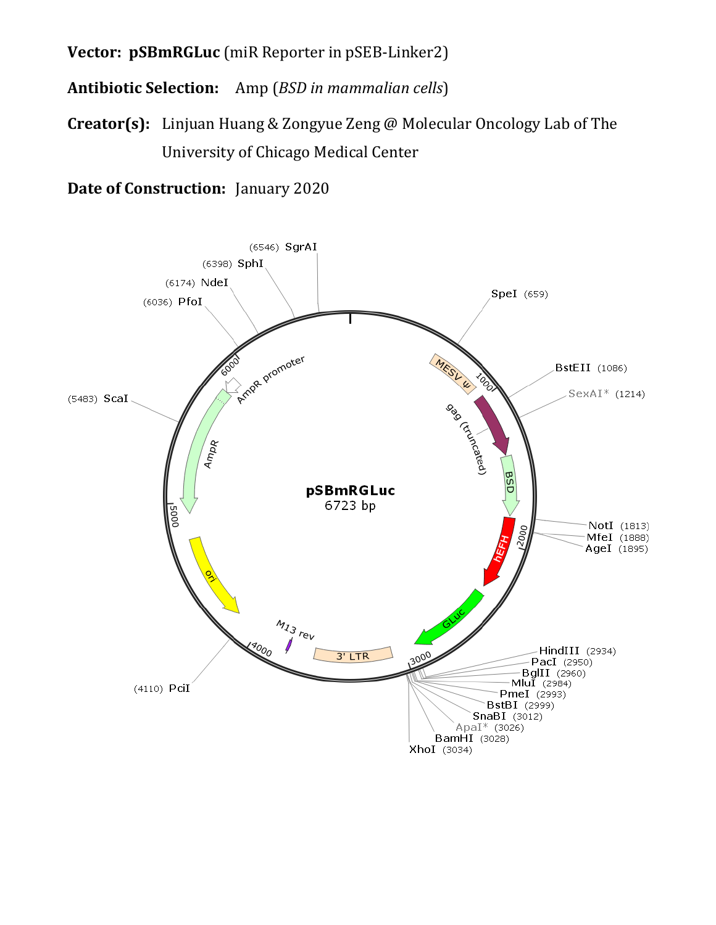**Vector: pSBmRGLuc** (miR Reporter in pSEB-Linker2)

**Antibiotic Selection:** Amp (*BSD in mammalian cells*)

**Creator(s):** Linjuan Huang & Zongyue Zeng @ Molecular Oncology Lab of The University of Chicago Medical Center

**Date of Construction:** January 2020

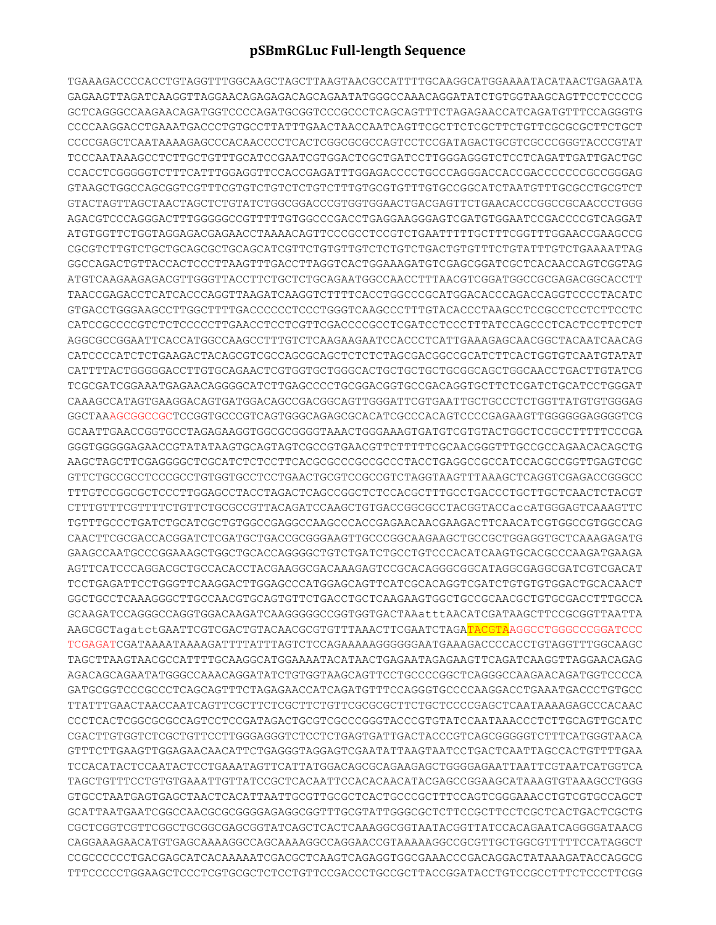## **pSBmRGLuc Full-length Sequence**

TGAAAGACCCCACCTGTAGGTTTGGCAAGCTAGCTTAAGTAACGCCATTTTGCAAGGCATGGAAAATACATAACTGAGAATA GAGAAGTTAGATCAAGGTTAGGAACAGAGAGACAGCAGAATATGGGCCAAACAGGATATCTGTGGTAAGCAGTTCCTCCCCG GCTCAGGGCCAAGAACAGATGGTCCCCAGATGCGGTCCCGCCCTCAGCAGTTTCTAGAGAACCATCAGATGTTTCCAGGGTG CCCCAAGGACCTGAAATGACCCTGTGCCTTATTTGAACTAACCAATCAGTTCGCTTCTCGCTTCTGTTCGCGCGCTTCTGCT CCCCGAGCTCAATAAAAGAGCCCACAACCCCTCACTCGGCGCGCCAGTCCTCCGATAGACTGCGTCGCCCGGGTACCCGTAT TCCCAATAAAGCCTCTTGCTGTTTGCATCCGAATCGTGGACTCGCTGATCCTTGGGAGGGTCTCCTCAGATTGATTGACTGC CCACCTCGGGGGTCTTTCATTTGGAGGTTCCACCGAGATTTGGAGACCCCTGCCCAGGGACCACCGACCCCCCCGCCGGGAG GTAAGCTGGCCAGCGGTCGTTTCGTGTCTGTCTCTGTCTTTGTGCGTGTTTGTGCCGGCATCTAATGTTTGCGCCTGCGTCT GTACTAGTTAGCTAACTAGCTCTGTATCTGGCGGACCCGTGGTGGAACTGACGAGTTCTGAACACCCGGCCGCAACCCTGGG AGACGTCCCAGGGACTTTGGGGGCCGTTTTTGTGGCCCGACCTGAGGAAGGGAGTCGATGTGGAATCCGACCCCGTCAGGAT ATGTGGTTCTGGTAGGAGACGAGAACCTAAAACAGTTCCCGCCTCCGTCTGAATTTTTGCTTTCGGTTTGGAACCGAAGCCG CGCGTCTTGTCTGCTGCAGCGCTGCAGCATCGTTCTGTGTTGTCTCTGTCTGACTGTGTTTCTGTATTTGTCTGAAAATTAG GGCCAGACTGTTACCACTCCCTTAAGTTTGACCTTAGGTCACTGGAAAGATGTCGAGCGGATCGCTCACAACCAGTCGGTAG ATGTCAAGAAGAGACGTTGGGTTACCTTCTGCTCTGCAGAATGGCCAACCTTTAACGTCGGATGGCCGCGAGACGGCACCTT TAACCGAGACCTCATCACCCAGGTTAAGATCAAGGTCTTTTCACCTGGCCCGCATGGACACCCAGACCAGGTCCCCTACATC GTGACCTGGGAAGCCTTGGCTTTTGACCCCCCTCCCTGGGTCAAGCCCTTTGTACACCCTAAGCCTCCGCCTCCTCTTCCTC CATCCGCCCCGTCTCTCCCCCTTGAACCTCCTCGTTCGACCCCGCCTCGATCCTCCCTTTATCCAGCCCTCACTCCTTCTCT AGGCGCCGGAATTCACCATGGCCAAGCCTTTGTCTCAAGAAGAATCCACCCTCATTGAAAGAGCAACGGCTACAATCAACAG CATCCCCATCTCTGAAGACTACAGCGTCGCCAGCGCAGCTCTCTCTAGCGACGGCCGCATCTTCACTGGTGTCAATGTATAT CATTTTACTGGGGGACCTTGTGCAGAACTCGTGGTGCTGGGCACTGCTGCTGCTGCGGCAGCTGGCAACCTGACTTGTATCG TCGCGATCGGAAATGAGAACAGGGGCATCTTGAGCCCCTGCGGACGGTGCCGACAGGTGCTTCTCGATCTGCATCCTGGGAT CAAAGCCATAGTGAAGGACAGTGATGGACAGCCGACGGCAGTTGGGATTCGTGAATTGCTGCCCTCTGGTTATGTGTGGGAG GGCTAAAGCGGCCGCTCCGGTGCCCGTCAGTGGGCAGAGCGCACATCGCCCACAGTCCCCGAGAAGTTGGGGGGAGGGGTCG GCAATTGAACCGGTGCCTAGAGAAGGTGGCGCGGGGTAAACTGGGAAAGTGATGTCGTGTACTGGCTCCGCCTTTTTCCCGA GGGTGGGGGAGAACCGTATATAAGTGCAGTAGTCGCCGTGAACGTTCTTTTTCGCAACGGGTTTGCCGCCAGAACACAGCTG AAGCTAGCTTCGAGGGGCTCGCATCTCTCCTTCACGCGCCCGCCGCCCTACCTGAGGCCGCCATCCACGCCGGTTGAGTCGC GTTCTGCCGCCTCCCGCCTGTGGTGCCTCCTGAACTGCGTCCGCCGTCTAGGTAAGTTTAAAGCTCAGGTCGAGACCGGGCC TTTGTCCGGCGCTCCCTTGGAGCCTACCTAGACTCAGCCGGCTCTCCACGCTTTGCCTGACCCTGCTTGCTCAACTCTACGT CTTTGTTTCGTTTTCTGTTCTGCGCCGTTACAGATCCAAGCTGTGACCGGCGCCTACGGTACCaccATGGGAGTCAAAGTTC TGTTTGCCCTGATCTGCATCGCTGTGGCCGAGGCCAAGCCCACCGAGAACAACGAAGACTTCAACATCGTGGCCGTGGCCAG CAACTTCGCGACCACGGATCTCGATGCTGACCGCGGGAAGTTGCCCGGCAAGAAGCTGCCGCTGGAGGTGCTCAAAGAGATG GAAGCCAATGCCCGGAAAGCTGGCTGCACCAGGGGCTGTCTGATCTGCCTGTCCCACATCAAGTGCACGCCCAAGATGAAGA AGTTCATCCCAGGACGCTGCCACACCTACGAAGGCGACAAAGAGTCCGCACAGGGCGGCATAGGCGAGGCGATCGTCGACAT TCCTGAGATTCCTGGGTTCAAGGACTTGGAGCCCATGGAGCAGTTCATCGCACAGGTCGATCTGTGTGTGGACTGCACAACT GGCTGCCTCAAAGGGCTTGCCAACGTGCAGTGTTCTGACCTGCTCAAGAAGTGGCTGCCGCAACGCTGTGCGACCTTTGCCA GCAAGATCCAGGGCCAGGTGGACAAGATCAAGGGGGCCGGTGGTGACTAAatttAACATCGATAAGCTTCCGCGGTTAATTA AAGCGCTagatctGAATTCGTCGACTGTACAACGCGTGTTTAAACTTCGAATCTAGATACGTAAGGCCTGGGCCCGGATCCC TCGAGATCGATAAAATAAAAGATTTTATTTAGTCTCCAGAAAAAGGGGGGAATGAAAGACCCCACCTGTAGGTTTGGCAAGC TAGCTTAAGTAACGCCATTTTGCAAGGCATGGAAAATACATAACTGAGAATAGAGAAGTTCAGATCAAGGTTAGGAACAGAG AGACAGCAGAATATGGGCCAAACAGGATATCTGTGGTAAGCAGTTCCTGCCCCGGCTCAGGGCCAAGAACAGATGGTCCCCA GATGCGGTCCCGCCCTCAGCAGTTTCTAGAGAACCATCAGATGTTTCCAGGGTGCCCCAAGGACCTGAAATGACCCTGTGCC TTATTTGAACTAACCAATCAGTTCGCTTCTCGCTTCTGTTCGCGCGCTTCTGCTCCCCGAGCTCAATAAAAGAGCCCACAAC CCCTCACTCGGCGCGCCAGTCCTCCGATAGACTGCGTCGCCCGGGTACCCGTGTATCCAATAAACCCTCTTGCAGTTGCATC CGACTTGTGGTCTCGCTGTTCCTTGGGAGGGTCTCCTCTGAGTGATTGACTACCCGTCAGCGGGGGTCTTTCATGGGTAACA GTTTCTTGAAGTTGGAGAACAACATTCTGAGGGTAGGAGTCGAATATTAAGTAATCCTGACTCAATTAGCCACTGTTTTGAA TCCACATACTCCAATACTCCTGAAATAGTTCATTATGGACAGCGCAGAAGAGCTGGGGAGAATTAATTCGTAATCATGGTCA TAGCTGTTTCCTGTGTGAAATTGTTATCCGCTCACAATTCCACACAACATACGAGCCGGAAGCATAAAGTGTAAAGCCTGGG GTGCCTAATGAGTGAGCTAACTCACATTAATTGCGTTGCGCTCACTGCCCGCTTTCCAGTCGGGAAACCTGTCGTGCCAGCT GCATTAATGAATCGGCCAACGCGCGGGGAGAGGCGGTTTGCGTATTGGGCGCTCTTCCGCTTCCTCGCTCACTGACTCGCTG CGCTCGGTCGTTCGGCTGCGGCGAGCGGTATCAGCTCACTCAAAGGCGGTAATACGGTTATCCACAGAATCAGGGGATAACG CAGGAAAGAACATGTGAGCAAAAGGCCAGCAAAAGGCCAGGAACCGTAAAAAGGCCGCGTTGCTGGCGTTTTTCCATAGGCT CCGCCCCCCTGACGAGCATCACAAAAATCGACGCTCAAGTCAGAGGTGGCGAAACCCGACAGGACTATAAAGATACCAGGCG TTTCCCCCTGGAAGCTCCCTCGTGCGCTCTCCTGTTCCGACCCTGCCGCTTACCGGATACCTGTCCGCCTTTCTCCCTTCGG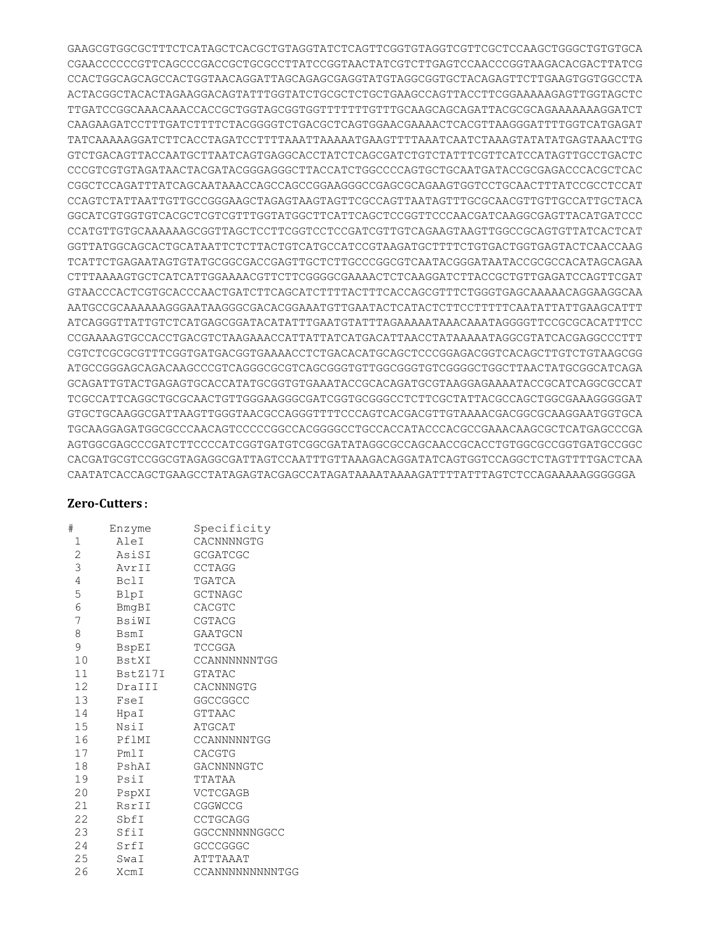GAAGCGTGGCGCTTTCTCATAGCTCACGCTGTAGGTATCTCAGTTCGGTGTAGGTCGTTCGCTCCAAGCTGGGCTGTGTGCA CGAACCCCCCGTTCAGCCCGACCGCTGCGCCTTATCCGGTAACTATCGTCTTGAGTCCAACCCGGTAAGACACGACTTATCG CCACTGGCAGCAGCCACTGGTAACAGGATTAGCAGAGCGAGGTATGTAGGCGGTGCTACAGAGTTCTTGAAGTGGTGGCCTA ACTACGGCTACACTAGAAGGACAGTATTTGGTATCTGCGCTCTGCTGAAGCCAGTTACCTTCGGAAAAAGAGTTGGTAGCTC TTGATCCGGCAAACAAACCACCGCTGGTAGCGGTGGTTTTTTTGTTTGCAAGCAGCAGATTACGCGCAGAAAAAAAGGATCT CAAGAAGATCCTTTGATCTTTTCTACGGGGTCTGACGCTCAGTGGAACGAAAACTCACGTTAAGGGATTTTGGTCATGAGAT TATCAAAAAGGATCTTCACCTAGATCCTTTTAAATTAAAAATGAAGTTTTAAATCAATCTAAAGTATATATGAGTAAACTTG GTCTGACAGTTACCAATGCTTAATCAGTGAGGCACCTATCTCAGCGATCTGTCTATTTCGTTCATCCATAGTTGCCTGACTC CCCGTCGTGTAGATAACTACGATACGGGAGGGCTTACCATCTGGCCCCAGTGCTGCAATGATACCGCGAGACCCACGCTCAC CGGCTCCAGATTTATCAGCAATAAACCAGCCAGCCGGAAGGGCCGAGCGCAGAAGTGGTCCTGCAACTTTATCCGCCTCCAT CCAGTCTATTAATTGTTGCCGGGAAGCTAGAGTAAGTAGTTCGCCAGTTAATAGTTTGCGCAACGTTGTTGCCATTGCTACA GGCATCGTGGTGTCACGCTCGTCGTTTGGTATGGCTTCATTCAGCTCCGGTTCCCAACGATCAAGGCGAGTTACATGATCCC CCATGTTGTGCAAAAAAGCGGTTAGCTCCTTCGGTCCTCCGATCGTTGTCAGAAGTAAGTTGGCCGCAGTGTTATCACTCAT GGTTATGGCAGCACTGCATAATTCTCTTACTGTCATGCCATCCGTAAGATGCTTTTCTGTGACTGGTGAGTACTCAACCAAG TCATTCTGAGAATAGTGTATGCGGCGACCGAGTTGCTCTTGCCCGGCGTCAATACGGGATAATACCGCGCCACATAGCAGAA CTTTAAAAGTGCTCATCATTGGAAAACGTTCTTCGGGGCGAAAACTCTCAAGGATCTTACCGCTGTTGAGATCCAGTTCGAT GTAACCCACTCGTGCACCCAACTGATCTTCAGCATCTTTTACTTTCACCAGCGTTTCTGGGTGAGCAAAAACAGGAAGGCAA AATGCCGCAAAAAAGGGAATAAGGGCGACACGGAAATGTTGAATACTCATACTCTTCCTTTTTCAATATTATTGAAGCATTT ATCAGGGTTATTGTCTCATGAGCGGATACATATTTGAATGTATTTAGAAAAATAAACAAATAGGGGTTCCGCGCACATTTCC CCGAAAAGTGCCACCTGACGTCTAAGAAACCATTATTATCATGACATTAACCTATAAAAATAGGCGTATCACGAGGCCCTTT CGTCTCGCGCGTTTCGGTGATGACGGTGAAAACCTCTGACACATGCAGCTCCCGGAGACGGTCACAGCTTGTCTGTAAGCGG ATGCCGGGAGCAGACAAGCCCGTCAGGGCGCGTCAGCGGGTGTTGGCGGGTGTCGGGGCTGGCTTAACTATGCGGCATCAGA GCAGATTGTACTGAGAGTGCACCATATGCGGTGTGAAATACCGCACAGATGCGTAAGGAGAAAATACCGCATCAGGCGCCAT TCGCCATTCAGGCTGCGCAACTGTTGGGAAGGGCGATCGGTGCGGGCCTCTTCGCTATTACGCCAGCTGGCGAAAGGGGGAT GTGCTGCAAGGCGATTAAGTTGGGTAACGCCAGGGTTTTCCCAGTCACGACGTTGTAAAACGACGGCGCAAGGAATGGTGCA TGCAAGGAGATGGCGCCCAACAGTCCCCCGGCCACGGGGCCTGCCACCATACCCACGCCGAAACAAGCGCTCATGAGCCCGA AGTGGCGAGCCCGATCTTCCCCATCGGTGATGTCGGCGATATAGGCGCCAGCAACCGCACCTGTGGCGCCGGTGATGCCGGC CACGATGCGTCCGGCGTAGAGGCGATTAGTCCAATTTGTTAAAGACAGGATATCAGTGGTCCAGGCTCTAGTTTTGACTCAA CAATATCACCAGCTGAAGCCTATAGAGTACGAGCCATAGATAAAATAAAAGATTTTATTTAGTCTCCAGAAAAAGGGGGGA

## **Zero-Cutters**:

| AleI<br>AsiSI<br>AvrII<br>BclI | CACNNNNGTG<br><b>GCGATCGC</b><br><b>CCTAGG</b><br>TGATCA |
|--------------------------------|----------------------------------------------------------|
|                                |                                                          |
|                                |                                                          |
|                                |                                                          |
|                                |                                                          |
|                                | GCTNAGC                                                  |
| BmgBI                          | CACGTC                                                   |
| BsiWI                          | CGTACG                                                   |
| BsmI                           | GAATGCN                                                  |
| BspEI                          | TCCGGA                                                   |
| BstXI                          | CCANNNNNNTGG                                             |
| BstZ17I                        | GTATAC                                                   |
| DraIII                         | CACNNNGTG                                                |
| FseI                           | GGCCGGCC                                                 |
| HpaI                           | <b>GTTAAC</b>                                            |
| NsiI                           | ATGCAT                                                   |
| PflMI                          | CCANNNNNTGG                                              |
| PmlI                           | CACGTG                                                   |
| PshAI                          | GACNNNNGTC                                               |
| PsiI                           | TTATAA                                                   |
| PspXI                          | VCTCGAGB                                                 |
| RsrII                          | CGGWCCG                                                  |
| SbfI                           | <b>CCTGCAGG</b>                                          |
| SfiI                           | GGCCNNNNNGGCC                                            |
| SrfI                           | GCCCGGGC                                                 |
| SwaI                           | ATTTAAAT                                                 |
| XcmI                           | CCANNNNNNNNNTGG                                          |
|                                | BlpI<br>15                                               |